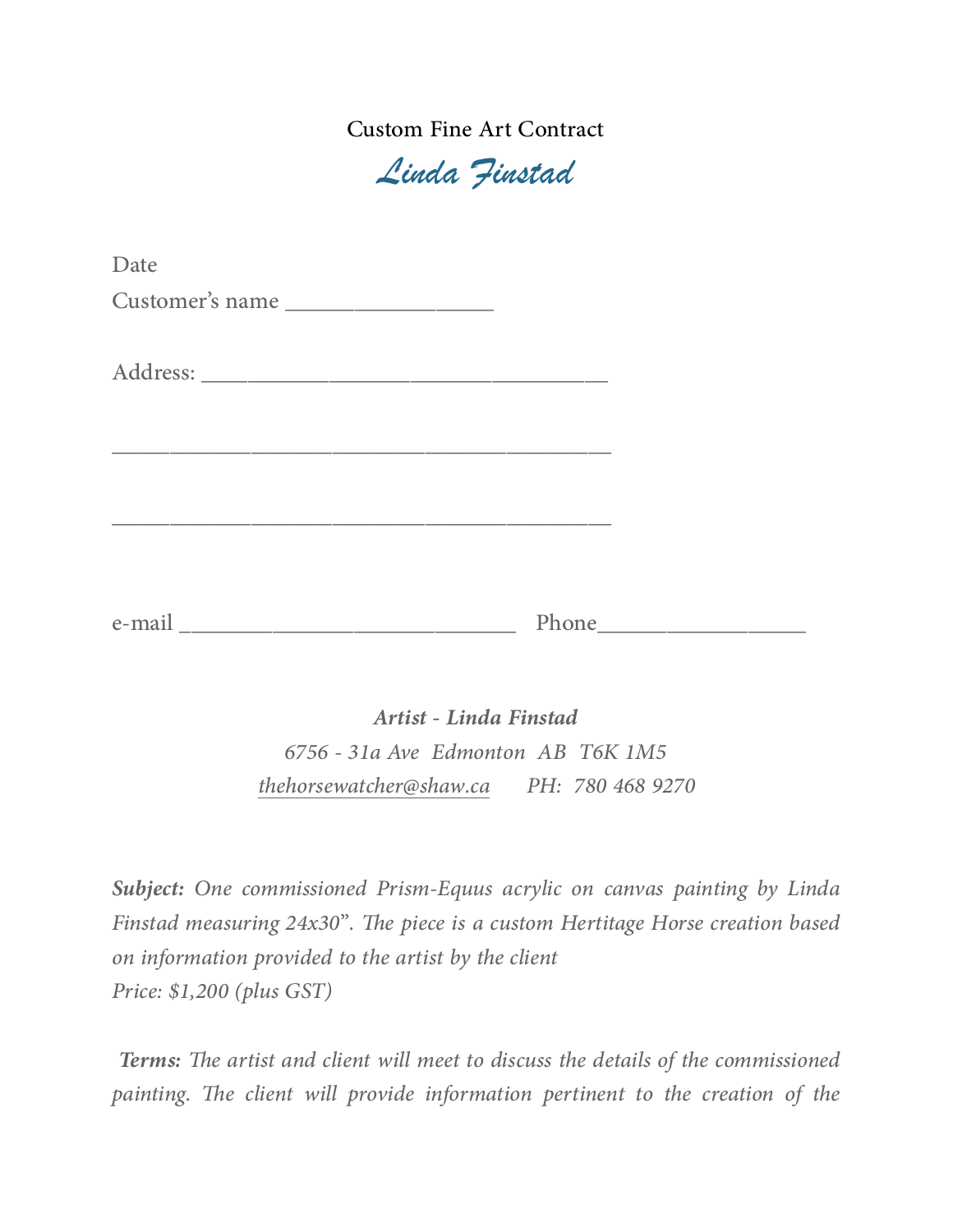Custom Fine Art Contract

*Linda Finstad* 

| Date            |  |
|-----------------|--|
| Customer's name |  |
|                 |  |
|                 |  |
|                 |  |
|                 |  |
|                 |  |
|                 |  |
|                 |  |
|                 |  |
|                 |  |

*Artist - Linda Finstad 6756 - 31a Ave Edmonton AB T6K 1M5 [thehorsewatcher@shaw](mailto:thehorsewatcher@shaw.ca).ca PH: 780 468 9270* 

*Subject: One commissioned Prism-Equus acrylic on canvas painting by Linda Finstad measuring 24x30". Te piece is a custom Hertitage Horse creation based on information provided to the artist by the client Price: \$1,200 (plus GST)*

*Terms: Te artist and client will meet to discuss the details of the commissioned painting. Te client will provide information pertinent to the creation of the*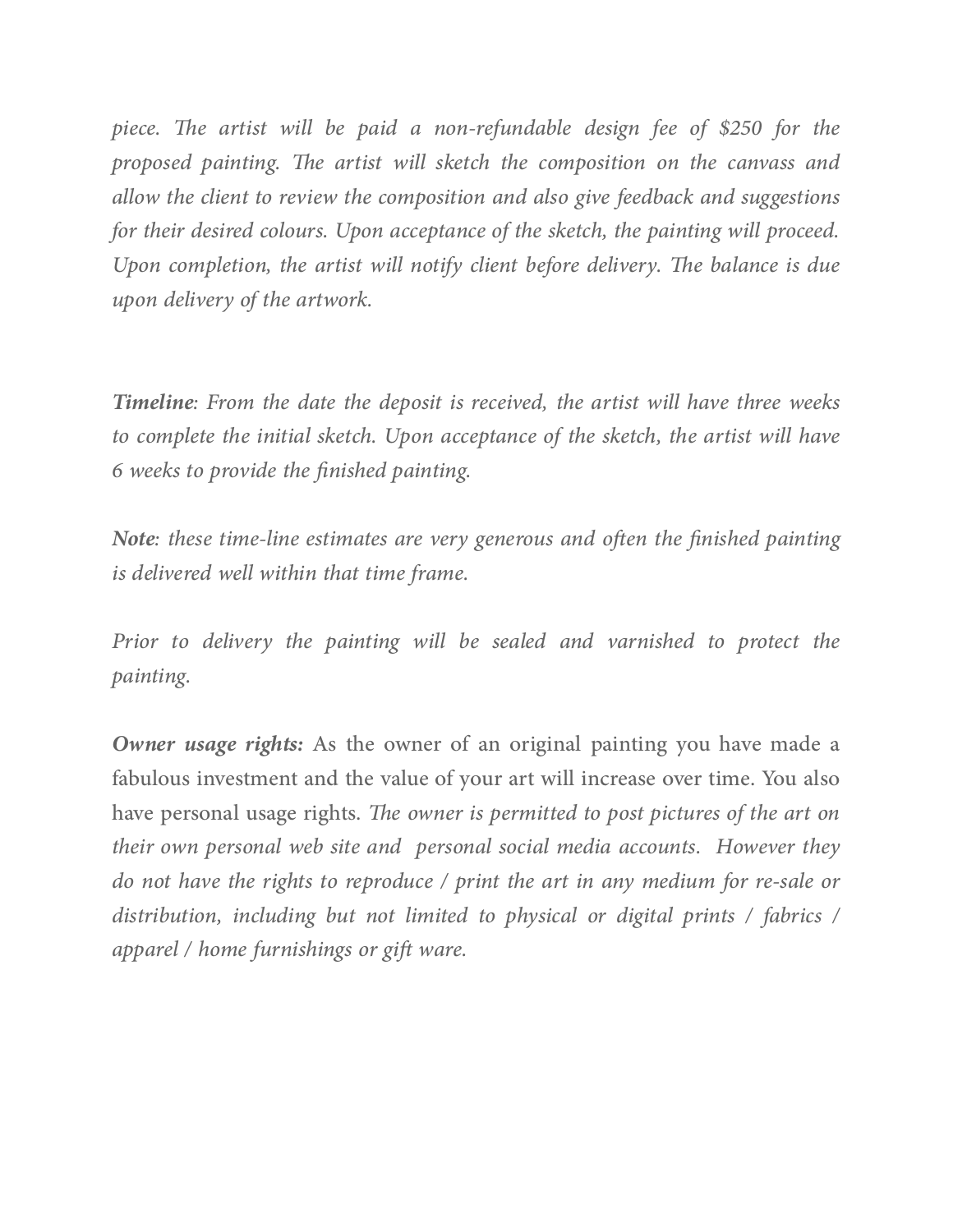*piece. Te artist will be paid a non-refundable design fee of \$250 for the proposed painting. Te artist will sketch the composition on the canvass and allow the client to review the composition and also give feedback and suggestions for their desired colours. Upon acceptance of the sketch, the painting will proceed. Upon completion, the artist will notify client before delivery. Te balance is due upon delivery of the artwork.*

*Timeline: From the date the deposit is received, the artist will have three weeks to complete the initial sketch. Upon acceptance of the sketch, the artist will have 6 weeks to provide the finished painting.*

*Note: these time-line estimates are very generous and ofen the finished painting is delivered well within that time frame.*

*Prior to delivery the painting will be sealed and varnished to protect the painting.* 

*Owner usage rights:* As the owner of an original painting you have made a fabulous investment and the value of your art will increase over time. You also have personal usage rights. *Te owner is permitted to post pictures of the art on their own personal web site and personal social media accounts. However they do not have the rights to reproduce / print the art in any medium for re-sale or distribution, including but not limited to physical or digital prints / fabrics / apparel / home furnishings or gif ware.*